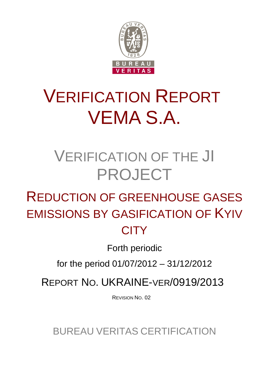

# VERIFICATION REPORT VEMA S.A.

## VERIFICATION OF THE JI PROJECT

## REDUCTION OF GREENHOUSE GASES EMISSIONS BY GASIFICATION OF KYIV **CITY**

Forth periodic

for the period 01/07/2012 – 31/12/2012

REPORT NO. UKRAINE-VER/0919/2013

REVISION NO. 02

BUREAU VERITAS CERTIFICATION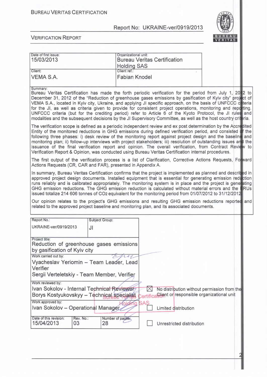

| Date of first issue:                                                                     | Organizational unit:   |                                                                                                                                                                                                                                                                                                                                                                                                                                                                                                                                                                                                                                                                                         |  |  |  |
|------------------------------------------------------------------------------------------|------------------------|-----------------------------------------------------------------------------------------------------------------------------------------------------------------------------------------------------------------------------------------------------------------------------------------------------------------------------------------------------------------------------------------------------------------------------------------------------------------------------------------------------------------------------------------------------------------------------------------------------------------------------------------------------------------------------------------|--|--|--|
| 15/03/2013                                                                               |                        | <b>Bureau Veritas Certification</b>                                                                                                                                                                                                                                                                                                                                                                                                                                                                                                                                                                                                                                                     |  |  |  |
|                                                                                          | <b>Holding SAS</b>     |                                                                                                                                                                                                                                                                                                                                                                                                                                                                                                                                                                                                                                                                                         |  |  |  |
| Client:                                                                                  | Client ref.:           |                                                                                                                                                                                                                                                                                                                                                                                                                                                                                                                                                                                                                                                                                         |  |  |  |
| <b>VEMA S.A.</b>                                                                         | <b>Fabian Knodel</b>   |                                                                                                                                                                                                                                                                                                                                                                                                                                                                                                                                                                                                                                                                                         |  |  |  |
|                                                                                          |                        |                                                                                                                                                                                                                                                                                                                                                                                                                                                                                                                                                                                                                                                                                         |  |  |  |
| Summary:                                                                                 |                        | Bureau Veritas Certification has made the forth periodic verification for the period from July 1, 20 2 to                                                                                                                                                                                                                                                                                                                                                                                                                                                                                                                                                                               |  |  |  |
|                                                                                          |                        | December 31, 2012 of the "Reduction of greenhouse gases emissions by gasification of Kyiv city" project of<br>VEMA S.A., located in Kyiv city, Ukraine, and applying JI specific approach, on the basis of UNFCCC cetteria<br>for the JI, as well as criteria given to provide for consistent project operations, monitoring and reparting.<br>UNFCCC criteria (but for the crediting period) refer to Article 6 of the Kyoto Protocol, the JI rules and<br>modalities and the subsequent decisions by the JI Supervisory Committee, as well as the host country crittica.                                                                                                              |  |  |  |
|                                                                                          |                        | The verification scope is defined as a periodic independent review and ex post determination by the Accredited<br>Entity of the monitored reductions in GHG emissions during defined verification period, and consisted of the<br>following three phases: i) desk review of the monitoring report against project design and the baseline and<br>monitoring plan; ii) follow-up interviews with project stakeholders; iii) resolution of outstanding issues and the<br>issuance of the final verification report and opinion. The overall verification, from Contract Review to<br>Verification Report & Opinion, was conducted using Bureau Veritas Certification internal procedures. |  |  |  |
| Actions Requests (CR, CAR and FAR), presented in Appendix A.                             |                        | The first output of the verification process is a list of Clarification, Corrective Actions Requests, Forward                                                                                                                                                                                                                                                                                                                                                                                                                                                                                                                                                                           |  |  |  |
|                                                                                          |                        | In summary, Bureau Veritas Certification confirms that the project is implemented as planned and descrited in<br>approved project design documents. Installed equipment that is essential for generating emission reduction<br>runs reliably and is calibrated appropriately. The monitoring system is in place and the project is generating<br>GHG emission reductions. The GHG emission reduction is calculated without material errors and the ERUs<br>issued totalize 214 606 tonnes of CO2 equivalent for the monitoring period from 01/07/2012 to 31/12/2012                                                                                                                     |  |  |  |
|                                                                                          |                        | Our opinion relates to the project's GHG emissions and resulting GHG emission reductions reported and<br>related to the approved project baseline and monitoring plan, and its associated documents.                                                                                                                                                                                                                                                                                                                                                                                                                                                                                    |  |  |  |
| Report No.:                                                                              | Subject Group:         |                                                                                                                                                                                                                                                                                                                                                                                                                                                                                                                                                                                                                                                                                         |  |  |  |
|                                                                                          |                        |                                                                                                                                                                                                                                                                                                                                                                                                                                                                                                                                                                                                                                                                                         |  |  |  |
| UKRAINE-ver/0919/2013                                                                    | JI                     |                                                                                                                                                                                                                                                                                                                                                                                                                                                                                                                                                                                                                                                                                         |  |  |  |
|                                                                                          |                        |                                                                                                                                                                                                                                                                                                                                                                                                                                                                                                                                                                                                                                                                                         |  |  |  |
| Project title:<br>Reduction of greenhouse gases emissions                                |                        |                                                                                                                                                                                                                                                                                                                                                                                                                                                                                                                                                                                                                                                                                         |  |  |  |
| by gasification of Kyiv city                                                             |                        |                                                                                                                                                                                                                                                                                                                                                                                                                                                                                                                                                                                                                                                                                         |  |  |  |
| Work carried out by:                                                                     | Epy                    |                                                                                                                                                                                                                                                                                                                                                                                                                                                                                                                                                                                                                                                                                         |  |  |  |
| Vyacheslav Yeriomin - Team Leader, Lead                                                  |                        |                                                                                                                                                                                                                                                                                                                                                                                                                                                                                                                                                                                                                                                                                         |  |  |  |
| Verifier                                                                                 |                        |                                                                                                                                                                                                                                                                                                                                                                                                                                                                                                                                                                                                                                                                                         |  |  |  |
| Sergii Verteletskiy - Team Member, Verifier                                              |                        |                                                                                                                                                                                                                                                                                                                                                                                                                                                                                                                                                                                                                                                                                         |  |  |  |
|                                                                                          |                        |                                                                                                                                                                                                                                                                                                                                                                                                                                                                                                                                                                                                                                                                                         |  |  |  |
| Work reviewed by:                                                                        |                        |                                                                                                                                                                                                                                                                                                                                                                                                                                                                                                                                                                                                                                                                                         |  |  |  |
| Ivan Sokolov - Internal Technical Reviewer<br>Borys Kostyukovskyy - Technical specialist |                        | $\times$<br>No distribution without permission from the<br>Client or responsible organizational unit<br><b>Certifica</b>                                                                                                                                                                                                                                                                                                                                                                                                                                                                                                                                                                |  |  |  |
| Work approved by:                                                                        |                        | SAS                                                                                                                                                                                                                                                                                                                                                                                                                                                                                                                                                                                                                                                                                     |  |  |  |
| Ivan Sokolov - Operational Manager<br>Limited distribution                               |                        |                                                                                                                                                                                                                                                                                                                                                                                                                                                                                                                                                                                                                                                                                         |  |  |  |
| Date of this revision:<br>Rev. No.:<br>15/04/2013<br>03                                  | Number of pages:<br>28 | Unrestricted distribution                                                                                                                                                                                                                                                                                                                                                                                                                                                                                                                                                                                                                                                               |  |  |  |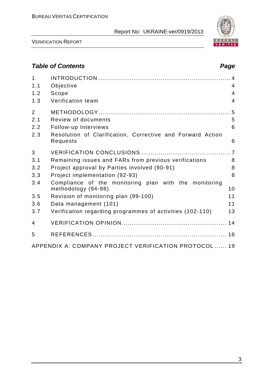

VERIFICATION REPORT

## *Table of Contents Page*

| $\mathbf{1}$<br>1.1 | Objective                                                                    | 4              |
|---------------------|------------------------------------------------------------------------------|----------------|
| 1.2                 | Scope                                                                        | $\overline{4}$ |
| 1.3                 | Verification team                                                            | $\overline{4}$ |
| $\overline{2}$      |                                                                              |                |
| 2.1                 | Review of documents                                                          | 5              |
| 2.2                 | Follow-up Interviews                                                         | 6              |
| 2.3                 | Resolution of Clarification, Corrective and Forward Action<br>Requests       | 6              |
| 3                   |                                                                              |                |
| 3.1                 | Remaining issues and FARs from previous verifications                        | 8              |
| 3.2                 | Project approval by Parties involved (90-91)                                 | 8              |
| 3.3                 | Project implementation (92-93)                                               | 8              |
| 3.4                 | Compliance of the monitoring plan with the monitoring<br>methodology (94-98) | 10             |
| 3.5                 | Revision of monitoring plan (99-100)                                         | 11             |
| 3.6                 | Data management (101)                                                        | 11             |
| 3.7                 | Verification regarding programmes of activities (102-110)                    | 13             |
| $\overline{4}$      |                                                                              |                |
| 5                   |                                                                              |                |
|                     | APPENDIX A: COMPANY PROJECT VERIFICATION PROTOCOL  19                        |                |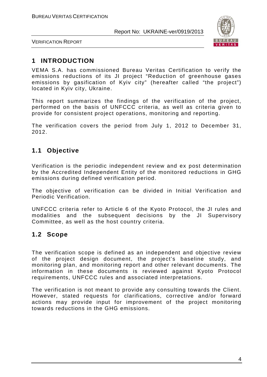

VERIFICATION REPORT

## **1 INTRODUCTION**

VEMA S.A. has commissioned Bureau Veritas Certification to verify the emissions reductions of its JI project "Reduction of greenhouse gases emissions by gasification of Kyiv city" (hereafter called "the project") located in Kyiv city, Ukraine.

This report summarizes the findings of the verification of the project, performed on the basis of UNFCCC criteria, as well as criteria given to provide for consistent project operations, monitoring and reporting.

The verification covers the period from July 1, 2012 to December 31, 2012.

## **1.1 Objective**

Verification is the periodic independent review and ex post determination by the Accredited Independent Entity of the monitored reductions in GHG emissions during defined verification period.

The objective of verification can be divided in Initial Verification and Periodic Verification.

UNFCCC criteria refer to Article 6 of the Kyoto Protocol, the JI rules and modalities and the subsequent decisions by the JI Supervisory Committee, as well as the host country criteria.

#### **1.2 Scope**

The verification scope is defined as an independent and objective review of the project design document, the project's baseline study, and monitoring plan, and monitoring report and other relevant documents. The information in these documents is reviewed against Kyoto Protocol requirements, UNFCCC rules and associated interpretations.

The verification is not meant to provide any consulting towards the Client. However, stated requests for clarifications, corrective and/or forward actions may provide input for improvement of the project monitoring towards reductions in the GHG emissions.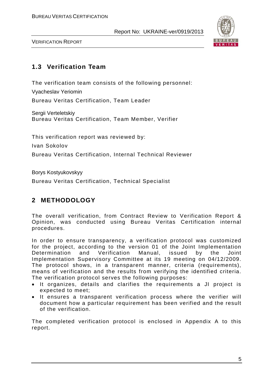

VERIFICATION REPORT

## **1.3 Verification Team**

The verification team consists of the following personnel: Vyacheslav Yeriomin Bureau Veritas Certification, Team Leader

Sergii Verteletskiy Bureau Veritas Certification, Team Member, Verifier

This verification report was reviewed by:

Ivan Sokolov

Bureau Veritas Certification, Internal Technical Reviewer

Borys Kostyukovskyy Bureau Veritas Certification, Technical Specialist

## **2 METHODOLOGY**

The overall verification, from Contract Review to Verification Report & Opinion, was conducted using Bureau Veritas Certification internal procedures.

In order to ensure transparency, a verification protocol was customized for the project, according to the version 01 of the Joint Implementation Determination and Verification Manual, issued by the Joint Implementation Supervisory Committee at its 19 meeting on 04/12/2009. The protocol shows, in a transparent manner, criteria (requirements), means of verification and the results from verifying the identified criteria. The verification protocol serves the following purposes:

- It organizes, details and clarifies the requirements a JI project is expected to meet;
- It ensures a transparent verification process where the verifier will document how a particular requirement has been verified and the result of the verification.

The completed verification protocol is enclosed in Appendix A to this report.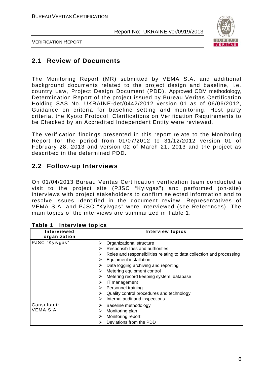

VERIFICATION REPORT

#### **2.1 Review of Documents**

The Monitoring Report (MR) submitted by VEMA S.A. and additional background documents related to the project design and baseline, i.e. country Law, Project Design Document (PDD), Approved CDM methodology, Determination Report of the project issued by Bureau Veritas Certification Holding SAS No. UKRAINE-det/0442/2012 version 01 as of 06/06/2012, Guidance on criteria for baseline setting and monitoring, Host party criteria, the Kyoto Protocol, Clarifications on Verification Requirements to be Checked by an Accredited Independent Entity were reviewed.

The verification findings presented in this report relate to the Monitoring Report for the period from 01/07/2012 to 31/12/2012 version 01 of February 28, 2013 and version 02 of March 21, 2013 and the project as described in the determined PDD.

#### **2.2 Follow-up Interviews**

On 01/04/2013 Bureau Veritas Certification verification team conducted a visit to the project site (PJSC "Kyivgas") and performed (on-site) interviews with project stakeholders to confirm selected information and to resolve issues identified in the document review. Representatives of VEMA S.A. and PJSC "Kyivgas" were interviewed (see References). The main topics of the interviews are summarized in Table 1.

| Interviewed<br>organization | <b>Interview topics</b>                                                    |
|-----------------------------|----------------------------------------------------------------------------|
| PJSC "Kyivgas"              | Organizational structure<br>⋗                                              |
|                             | Responsibilities and authorities<br>⋗                                      |
|                             | Roles and responsibilities relating to data collection and processing<br>⋗ |
|                             | Equipment installation<br>⋗                                                |
|                             | Data logging archiving and reporting<br>➤                                  |
|                             | Metering equipment control<br>⋗                                            |
|                             | Metering record keeping system, database<br>⋗                              |
|                             | IT management<br>⋗                                                         |
|                             | Personnel training                                                         |
|                             | Quality control procedures and technology<br>⋗                             |
|                             | Internal audit and inspections<br>⋗                                        |
| Consultant:                 | Baseline methodology<br>➤                                                  |
| VEMA S.A.                   | Monitoring plan<br>⋗                                                       |
|                             | Monitoring report<br>⋗                                                     |
|                             | Deviations from the PDD<br>⋗                                               |

#### **Table 1 Interview topics**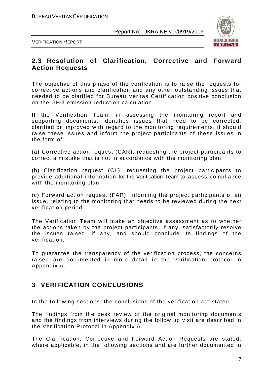

VERIFICATION REPORT

#### **2.3 Resolution of Clarification, Corrective and Forward Action Requests**

The objective of this phase of the verification is to raise the requests for corrective actions and clarification and any other outstanding issues that needed to be clarified for Bureau Veritas Certification positive conclusion on the GHG emission reduction calculation.

If the Verification Team, in assessing the monitoring report and supporting documents, identifies issues that need to be corrected, clarified or improved with regard to the monitoring requirements, it should raise these issues and inform the project participants of these issues in the form of:

(a) Corrective action request (CAR), requesting the project participants to correct a mistake that is not in accordance with the monitoring plan;

(b) Clarification request (CL), requesting the project participants to provide additional information for the Verification Team to assess compliance with the monitoring plan

(c) Forward action request (FAR), informing the project participants of an issue, relating to the monitoring that needs to be reviewed during the next verification period.

The Verification Team will make an objective assessment as to whether the actions taken by the project participants, if any, satisfactorily resolve the issues raised, if any, and should conclude its findings of the verification.

To guarantee the transparency of the verification process, the concerns raised are documented in more detail in the verification protocol in Appendix A.

## **3 VERIFICATION CONCLUSIONS**

In the following sections, the conclusions of the verification are stated.

The findings from the desk review of the original monitoring documents and the findings from interviews during the follow up visit are described in the Verification Protocol in Appendix A.

The Clarification, Corrective and Forward Action Requests are stated, where applicable, in the following sections and are further documented in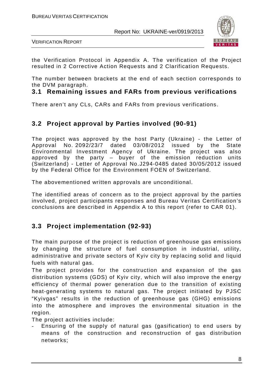

VERIFICATION REPORT

the Verification Protocol in Appendix A. The verification of the Project resulted in 2 Corrective Action Requests and 2 Clarification Requests.

The number between brackets at the end of each section corresponds to the DVM paragraph.

#### **3.1 Remaining issues and FARs from previous verifications**

There aren't any CLs, CARs and FARs from previous verifications.

## **3.2 Project approval by Parties involved (90-91)**

The project was approved by the host Party (Ukraine) - the Letter of Approval No. 2092/23/7 dated 03/08/2012 issued by the State Environmental Investment Agency of Ukraine. The project was also approved by the party  $-$  buyer of the emission reduction units (Switzerland) - Letter of Approval No.J294-0485 dated 30/05/2012 issued by the Federal Office for the Environment FOEN of Switzerland.

The abovementioned written approvals are unconditional.

The identified areas of concern as to the project approval by the parties involved, project participants responses and Bureau Veritas Certification's conclusions are described in Appendix A to this report (refer to CAR 01).

## **3.3 Project implementation (92-93)**

The main purpose of the project is reduction of greenhouse gas emissions by changing the structure of fuel consumption in industrial, utility, administrative and private sectors of Kyiv city by replacing solid and liquid fuels with natural gas.

The project provides for the construction and expansion of the gas distribution systems (GDS) of Kyiv city, which will also improve the energy efficiency of thermal power generation due to the transition of existing heat-generating systems to natural gas. The project initiated by PJSC "Kyivgas" results in the reduction of greenhouse gas (GHG) emissions into the atmosphere and improves the environmental situation in the region.

The project activities include:

Ensuring of the supply of natural gas (gasification) to end users by means of the construction and reconstruction of gas distribution networks;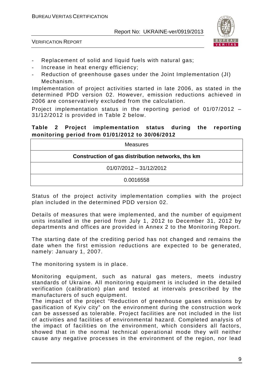

VERIFICATION REPORT

- Replacement of solid and liquid fuels with natural gas;
- Increase in heat energy efficiency;
- Reduction of greenhouse gases under the Joint Implementation (JI) Mechanism.

Implementation of project activities started in late 2006, as stated in the determined PDD version 02. However, emission reductions achieved in 2006 are conservatively excluded from the calculation.

Project implementation status in the reporting period of 01/07/2012 – 31/12/2012 is provided in Table 2 below.

#### **Table 2 Project implementation status during the reporting monitoring period from 01/01/2012 to 30/06/2012**

| <b>Measures</b>                                   |
|---------------------------------------------------|
| Construction of gas distribution networks, ths km |
| $01/07/2012 - 31/12/2012$                         |
| 0.0016558                                         |

Status of the project activity implementation complies with the project plan included in the determined PDD version 02.

Details of measures that were implemented, and the number of equipment units installed in the period from July 1, 2012 to December 31, 2012 by departments and offices are provided in Annex 2 to the Monitoring Report.

The starting date of the crediting period has not changed and remains the date when the first emission reductions are expected to be generated, namely: January 1, 2007.

The monitoring system is in place.

Monitoring equipment, such as natural gas meters, meets industry standards of Ukraine. All monitoring equipment is included in the detailed verification (calibration) plan and tested at intervals prescribed by the manufacturers of such equipment.

The impact of the project "Reduction of greenhouse gases emissions by gasification of Kyiv city" on the environment during the construction work can be assessed as tolerable. Project facilities are not included in the list of activities and facilities of environmental hazard. Completed analysis of the impact of facilities on the environment, which considers all factors, showed that in the normal technical operational mode they will neither cause any negative processes in the environment of the region, nor lead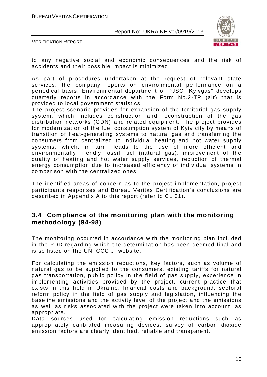

VERIFICATION REPORT

to any negative social and economic consequences and the risk of accidents and their possible impact is minimized.

As part of procedures undertaken at the request of relevant state services, the company reports on environmental performance on a periodical basis. Environmental department of PJSC "Kyivgas" develops quarterly reports in accordance with the Form No.2-TP (air) that is provided to local government statistics.

The project scenario provides for expansion of the territorial gas supply system, which includes construction and reconstruction of the gas distribution networks (GDN) and related equipment. The project provides for modernization of the fuel consumption system of Kyiv city by means of transition of heat-generating systems to natural gas and transferring the consumers from centralized to individual heating and hot water supply systems, which, in turn, leads to the use of more efficient and environmentally friendly fossil fuel (natural gas), improvement of the quality of heating and hot water supply services, reduction of thermal energy consumption due to increased efficiency of individual systems in comparison with the centralized ones.

The identified areas of concern as to the project implementation, project participants responses and Bureau Veritas Certification's conclusions are described in Appendix A to this report (refer to CL 01).

#### **3.4 Compliance of the monitoring plan with the monitoring methodology (94-98)**

The monitoring occurred in accordance with the monitoring plan included in the PDD regarding which the determination has been deemed final and is so listed on the UNFCCC JI website.

For calculating the emission reductions, key factors, such as volume of natural gas to be supplied to the consumers, existing tariffs for natural gas transportation, public policy in the field of gas supply, experience in implementing activities provided by the project, current practice that exists in this field in Ukraine, financial costs and background, sectoral reform policy in the field of gas supply and legislation, influencing the baseline emissions and the activity level of the project and the emissions as well as risks associated with the project were taken into account, as appropriate.

Data sources used for calculating emission reductions such as appropriately calibrated measuring devices, survey of carbon dioxide emission factors are clearly identified, reliable and transparent.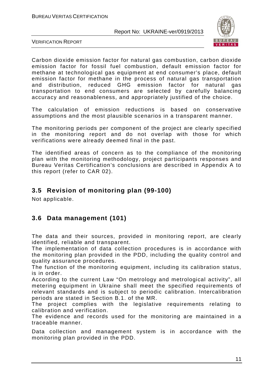

VERIFICATION REPORT

Carbon dioxide emission factor for natural gas combustion, carbon dioxide emission factor for fossil fuel combustion, default emission factor for methane at technological gas equipment at end consumer's place, default emission factor for methane in the process of natural gas transportation and distribution, reduced GHG emission factor for natural gas transportation to end consumers are selected by carefully balancing accuracy and reasonableness, and appropriately justified of the choice.

The calculation of emission reductions is based on conservative assumptions and the most plausible scenarios in a transparent manner.

The monitoring periods per component of the project are clearly specified in the monitoring report and do not overlap with those for which verifications were already deemed final in the past.

The identified areas of concern as to the compliance of the monitoring plan with the monitoring methodology, project participants responses and Bureau Veritas Certification's conclusions are described in Appendix A to this report (refer to CAR 02).

## **3.5 Revision of monitoring plan (99-100)**

Not applicable.

## **3.6 Data management (101)**

The data and their sources, provided in monitoring report, are clearly identified, reliable and transparent.

The implementation of data collection procedures is in accordance with the monitoring plan provided in the PDD, including the quality control and quality assurance procedures.

The function of the monitoring equipment, including its calibration status, is in order.

According to the current Law "On metrology and metrological activity", all metering equipment in Ukraine shall meet the specified requirements of relevant standards and is subject to periodic calibration. Intercalibration periods are stated in Section B.1. of the MR.

The project complies with the legislative requirements relating to calibration and verification.

The evidence and records used for the monitoring are maintained in a traceable manner.

Data collection and management system is in accordance with the monitoring plan provided in the PDD.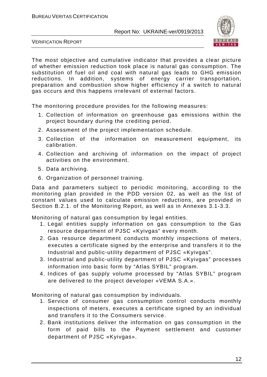

VERIFICATION REPORT

The most objective and cumulative indicator that provides a clear picture of whether emission reduction took place is natural gas consumption. The substitution of fuel oil and coal with natural gas leads to GHG emission reductions. In addition, systems of energy carrier transportation, preparation and combustion show higher efficiency if a switch to natural gas occurs and this happens irrelevant of external factors.

The monitoring procedure provides for the following measures:

- 1. Collection of information on greenhouse gas emissions within the project boundary during the crediting period.
- 2. Assessment of the project implementation schedule.
- 3. Collection of the information on measurement equipment, its calibration.
- 4. Collection and archiving of information on the impact of project activities on the environment.
- 5. Data archiving.
- 6. Organization of personnel training.

Data and parameters subject to periodic monitoring, according to the monitoring plan provided in the PDD version 02, as well as the list of constant values used to calculate emission reductions, are provided in Section B.2.1. of the Monitoring Report, as well as in Annexes 3.1-3.3.

Monitoring of natural gas consumption by legal entities.

- 1. Legal entities supply information on gas consumption to the Gas resource department of PJSC «Kyivgas" every month.
- 2. Gas resource department conducts monthly inspections of meters, executes a certificate signed by the enterprise and transfers it to the Industrial and public-utility department of PJSC «Kyivgas".
- 3. Industrial and public-utility department of PJSC «Kyivgas" processes information into basic form by "Atlas SYBIL" program.
- 4. Indices of gas supply volume processed by "Atlas SYBIL" program are delivered to the project developer «VEMA S.A.».

Monitoring of natural gas consumption by individuals.

- 1. Service of consumer gas consumption control conducts monthly inspections of meters, executes a certificate signed by an individual and transfers it to the Consumers service.
- 2. Bank institutions deliver the information on gas consumption in the form of paid bills to the Payment settlement and customer department of PJSC «Kyivgas».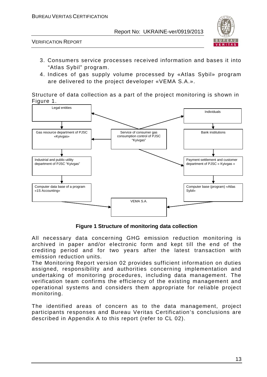

VERIFICATION REPORT

- 3. Consumers service processes received information and bases it into "Atlas Sybil" program.
- 4. Indices of gas supply volume processed by «Atlas Sybil» program are delivered to the project developer «VEMA S.A.».

Structure of data collection as a part of the project monitoring is shown in Figure 1.



**Figure 1 Structure of monitoring data collection**

All necessary data concerning GHG emission reduction monitoring is archived in paper and/or electronic form and kept till the end of the crediting period and for two years after the latest transaction with emission reduction units.

The Monitoring Report version 02 provides sufficient information on duties assigned, responsibility and authorities concerning implementation and undertaking of monitoring procedures, including data management. The verification team confirms the efficiency of the existing management and operational systems and considers them appropriate for reliable project monitoring.

The identified areas of concern as to the data management, project participants responses and Bureau Veritas Certification's conclusions are described in Appendix A to this report (refer to CL 02).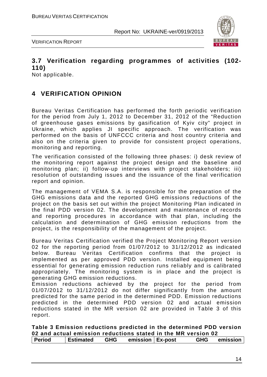

VERIFICATION REPORT

## **3.7 Verification regarding programmes of activities (102- 110)**

Not applicable.

## **4 VERIFICATION OPINION**

Bureau Veritas Certification has performed the forth periodic verification for the period from July 1, 2012 to December 31, 2012 of the "Reduction of greenhouse gases emissions by gasification of Kyiv city" project in Ukraine, which applies JI specific approach. The verification was performed on the basis of UNFCCC criteria and host country criteria and also on the criteria given to provide for consistent project operations, monitoring and reporting.

The verification consisted of the following three phases: i) desk review of the monitoring report against the project design and the baseline and monitoring plan; ii) follow-up interviews with project stakeholders; iii) resolution of outstanding issues and the issuance of the final verification report and opinion.

The management of VEMA S.A. is responsible for the preparation of the GHG emissions data and the reported GHG emissions reductions of the project on the basis set out within the project Monitoring Plan indicated in the final PDD version 02. The development and maintenance of records and reporting procedures in accordance with that plan, including the calculation and determination of GHG emission reductions from the project, is the responsibility of the management of the project.

Bureau Veritas Certification verified the Project Monitoring Report version 02 for the reporting period from 01/07/2012 to 31/12/2012 as indicated below. Bureau Veritas Certification confirms that the project is implemented as per approved PDD version. Installed equipment being essential for generating emission reduction runs reliably and is calibrated appropriately. The monitoring system is in place and the project is generating GHG emission reductions.

Emission reductions achieved by the project for the period from 01/07/2012 to 31/12/2012 do not differ significantly from the amount predicted for the same period in the determined PDD. Emission reductions predicted in the determined PDD version 02 and actual emission reductions stated in the MR version 02 are provided in Table 3 of this report.

|               | Table 3 Emission reductions predicted in the determined PDD version |     |                    |            |          |
|---------------|---------------------------------------------------------------------|-----|--------------------|------------|----------|
|               | 02 and actual emission reductions stated in the MR version 02       |     |                    |            |          |
| <b>Period</b> | <b>Estimated</b>                                                    | GHG | emission   Ex-post | <b>GHG</b> | emission |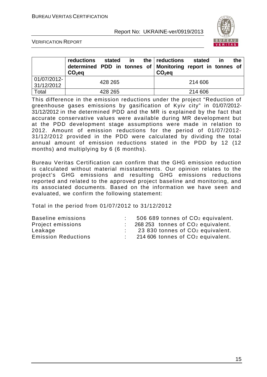

VERIFICATION REPORT

|                           | <b>reductions</b><br>determined PDD in tonnes of Monitoring report in tonnes of<br>$CO2$ eq |         |  | stated in the reductions<br>$CO2$ eq | stated  | <u>in</u> | the |
|---------------------------|---------------------------------------------------------------------------------------------|---------|--|--------------------------------------|---------|-----------|-----|
| 01/07/2012-<br>31/12/2012 |                                                                                             | 428 265 |  |                                      | 214 606 |           |     |
| Total                     |                                                                                             | 428 265 |  |                                      | 214 606 |           |     |

This difference in the emission reductions under the project "Reduction of greenhouse gases emissions by gasification of Kyiv city" in 01/07/2012- 31/12/2012 in the determined PDD and the MR is explained by the fact that accurate conservative values were available during MR development but at the PDD development stage assumptions were made in relation to 2012. Amount of emission reductions for the period of 01/07/2012- 31/12/2012 provided in the PDD were calculated by dividing the total annual amount of emission reductions stated in the PDD by 12 (12 months) and multiplying by 6 (6 months).

Bureau Veritas Certification can confirm that the GHG emission reduction is calculated without material misstatements. Our opinion relates to the project's GHG emissions and resulting GHG emissions reductions reported and related to the approved project baseline and monitoring, and its associated documents. Based on the information we have seen and evaluated, we confirm the following statement:

Total in the period from 01/07/2012 to 31/12/2012

| 506 689 tonnes of CO <sub>2</sub> equivalent. |
|-----------------------------------------------|
| 268 253 tonnes of CO <sub>2</sub> equivalent. |
| 23 830 tonnes of CO <sub>2</sub> equivalent.  |
| 214 606 tonnes of CO <sub>2</sub> equivalent. |
|                                               |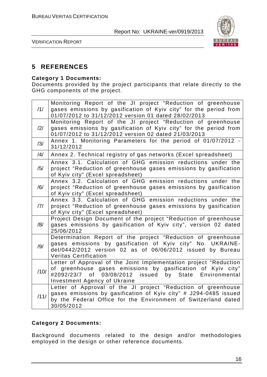

VERIFICATION REPORT

#### **5 REFERENCES**

#### **Category 1 Documents:**

Documents provided by the project participants that relate directly to the GHG components of the project.

| /1/  | Monitoring Report of the JI project "Reduction of greenhouse<br>gases emissions by gasification of Kyiv city" for the period from<br>01/07/2012 to 31/12/2012 version 01 dated 28/02/2013                                                  |
|------|--------------------------------------------------------------------------------------------------------------------------------------------------------------------------------------------------------------------------------------------|
| /2/  | Monitoring Report of the JI project "Reduction of greenhouse<br>gases emissions by gasification of Kyiv city" for the period from<br>01/07/2012 to 31/12/2012 version 02 dated 21/03/2013                                                  |
| /3/  | Annex 1. Monitoring Parameters for the period of 01/07/2012 -<br>31/12/2012                                                                                                                                                                |
| /4/  | Annex 2. Technical registry of gas networks (Excel spreadsheet)                                                                                                                                                                            |
| /5/  | Annex 3.1. Calculation of GHG emission reductions under the<br>project "Reduction of greenhouse gases emissions by gasification<br>of Kyiv city" (Excel spreadsheet)                                                                       |
| /6/  | Annex 3.2. Calculation of GHG emission reductions under the<br>project "Reduction of greenhouse gases emissions by gasification<br>of Kyiv city" (Excel spreadsheet)                                                                       |
| 7    | Annex 3.3. Calculation of GHG emission reductions under the<br>project "Reduction of greenhouse gases emissions by gasification<br>of Kyiv city" (Excel spreadsheet)                                                                       |
| /8/  | Project Design Document of the project "Reduction of greenhouse<br>gases emissions by gasification of Kyiv city", version 02 dated<br>25/06/2012                                                                                           |
| /9/  | Determination Report of the project "Reduction of greenhouse<br>gases emissions by gasification of Kyiv city" No. UKRAINE-<br>det/0442/2012 version 02 as of 06/06/2012 issued by Bureau<br><b>Veritas Certification</b>                   |
| /10/ | Letter of Approval of the Joint Implementation project "Reduction<br>of greenhouse gases emissions by gasification of Kyiv city"<br>03/08/2012<br>issued by State<br>Environmental<br>#2092/23/7 of<br><b>Investment Agency of Ukraine</b> |
| /11/ | Letter of Approval of the JI project "Reduction of greenhouse<br>gases emissions by gasification of Kyiv city" # J294-0485 issued<br>by the Federal Office for the Environment of Switzerland dated<br>30/05/2012                          |

#### **Category 2 Documents:**

Background documents related to the design and/or methodologies employed in the design or other reference documents.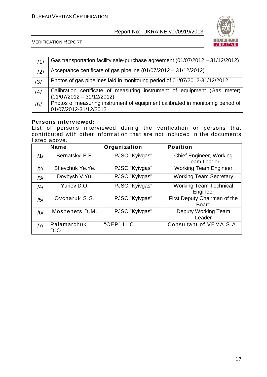

VERIFICATION REPORT

| /1/            | Gas transportation facility sale-purchase agreement (01/07/2012 - 31/12/2012)                           |
|----------------|---------------------------------------------------------------------------------------------------------|
| $\frac{12}{1}$ | Acceptance certificate of gas pipeline $(01/07/2012 - 31/12/2012)$                                      |
| /3/            | Photos of gas pipelines laid in monitoring period of 01/07/2012-31/12/2012                              |
| /4/            | Calibration certificate of measuring instrument of equipment (Gas meter)<br>$(01/07/2012 - 31/12/2012)$ |
| /5/            | Photos of measuring instrument of equipment calibrated in monitoring period of<br>01/07/2012-31/12/2012 |

#### **Persons interviewed:**

List of persons interviewed during the verification or persons that contributed with other information that are not included in the documents listed above.

|     | <b>Name</b>         | Organization   | <b>Position</b>                                      |
|-----|---------------------|----------------|------------------------------------------------------|
| /1/ | Bernatskyi B.E.     | PJSC "Kyivgas" | <b>Chief Engineer, Working</b><br><b>Team Leader</b> |
| /2/ | Shevchuk Ye.Ye.     | PJSC "Kyivgas" | <b>Working Team Engineer</b>                         |
| /3/ | Dovbysh V.Yu.       | PJSC "Kyivgas" | <b>Working Team Secretary</b>                        |
| /4/ | Yuriev D.O.         | PJSC "Kyivgas" | <b>Working Team Technical</b><br>Engineer            |
| /5/ | Ovcharuk S.S.       | PJSC "Kyivgas" | First Deputy Chairman of the<br><b>Board</b>         |
| /6/ | Moshenets D.M.      | PJSC "Kyivgas" | <b>Deputy Working Team</b><br>Leader                 |
| 7   | Palamarchuk<br>D.O. | "CEP" LLC      | Consultant of VEMA S.A.                              |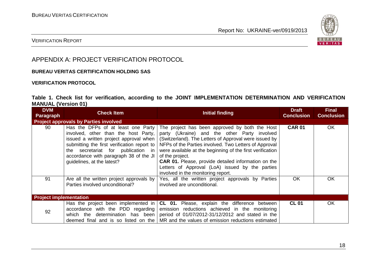

#### VERIFICATION REPORT

#### APPENDIX A: PROJECT VERIFICATION PROTOCOL

#### **BUREAU VERITAS CERTIFICATION HOLDING SAS**

#### **VERIFICATION PROTOCOL**

#### **Table 1. Check list for verification, according to the JOINT IMPLEMENTATION DETERMINATION AND VERIFICATION MANUAL (Version 01)**

| <b>DVM</b><br>Paragraph       | <b>Check Item</b>                                                                                                                                         | <b>Initial finding</b>                                                                                                                                                                                                                                                                                                                                                                                                                                                                                                                                                           | <b>Draft</b><br><b>Conclusion</b> | <b>Final</b><br><b>Conclusion</b> |
|-------------------------------|-----------------------------------------------------------------------------------------------------------------------------------------------------------|----------------------------------------------------------------------------------------------------------------------------------------------------------------------------------------------------------------------------------------------------------------------------------------------------------------------------------------------------------------------------------------------------------------------------------------------------------------------------------------------------------------------------------------------------------------------------------|-----------------------------------|-----------------------------------|
|                               | <b>Project approvals by Parties involved</b>                                                                                                              |                                                                                                                                                                                                                                                                                                                                                                                                                                                                                                                                                                                  |                                   |                                   |
| 90                            | submitting the first verification report to<br>the secretariat for publication in<br>accordance with paragraph 38 of the JI<br>guidelines, at the latest? | Has the DFPs of at least one Party   The project has been approved by both the Host<br>involved, other than the host Party, party (Ukraine) and the other Party involved<br>issued a written project approval when $\vert$ (Switzerland). The Letters of Approval were issued by<br>NFPs of the Parties involved. Two Letters of Approval<br>were available at the beginning of the first verification<br>of the project.<br><b>CAR 01.</b> Please, provide detailed information on the<br>Letters of Approval (LoA) issued by the parties<br>involved in the monitoring report. | <b>CAR 01</b>                     | OK                                |
| 91                            | Are all the written project approvals by<br>Parties involved unconditional?                                                                               | Yes, all the written project approvals by Parties<br>involved are unconditional.                                                                                                                                                                                                                                                                                                                                                                                                                                                                                                 | <b>OK</b>                         | OK.                               |
| <b>Project implementation</b> |                                                                                                                                                           |                                                                                                                                                                                                                                                                                                                                                                                                                                                                                                                                                                                  |                                   |                                   |
| 92                            |                                                                                                                                                           | Has the project been implemented in $ CL 01$ . Please, explain the difference between<br>accordance with the PDD regarding emission reductions achieved in the monitoring<br>which the determination has been period of $01/07/2012-31/12/2012$ and stated in the<br>deemed final and is so listed on the $\vert$ MR and the values of emission reductions estimated                                                                                                                                                                                                             | <b>CL 01</b>                      | OK.                               |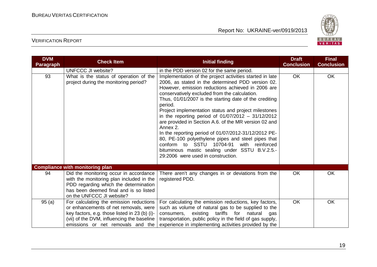

| <b>DVM</b><br>Paragraph | <b>Check Item</b>                                                                                                                                                                                                    | <b>Initial finding</b>                                                                                                                                                                                                                                                                                                                                                                                                                                                                                                                                                                                                                                                                                                                | <b>Draft</b><br><b>Conclusion</b> | <b>Final</b><br><b>Conclusion</b> |
|-------------------------|----------------------------------------------------------------------------------------------------------------------------------------------------------------------------------------------------------------------|---------------------------------------------------------------------------------------------------------------------------------------------------------------------------------------------------------------------------------------------------------------------------------------------------------------------------------------------------------------------------------------------------------------------------------------------------------------------------------------------------------------------------------------------------------------------------------------------------------------------------------------------------------------------------------------------------------------------------------------|-----------------------------------|-----------------------------------|
|                         | UNFCCC JI website?                                                                                                                                                                                                   | in the PDD version 02 for the same period.                                                                                                                                                                                                                                                                                                                                                                                                                                                                                                                                                                                                                                                                                            |                                   |                                   |
| 93                      | What is the status of operation of the<br>project during the monitoring period?                                                                                                                                      | Implementation of the project activities started in late<br>2006, as stated in the determined PDD version 02.<br>However, emission reductions achieved in 2006 are<br>conservatively excluded from the calculation.<br>Thus, 01/01/2007 is the starting date of the crediting<br>period.<br>Project implementation status and project milestones<br>in the reporting period of $01/07/2012 - 31/12/2012$<br>are provided in Section A.6. of the MR version 02 and<br>Annex 2.<br>In the reporting period of 01/07/2012-31/12/2012 PE-<br>80, PE-100 polyethylene pipes and steel pipes that<br>conform to SSTU 10704-91<br>reinforced<br>with<br>bituminous mastic sealing under SSTU B.V.2.5.-<br>29:2006 were used in construction. | <b>OK</b>                         | OK                                |
|                         | <b>Compliance with monitoring plan</b>                                                                                                                                                                               |                                                                                                                                                                                                                                                                                                                                                                                                                                                                                                                                                                                                                                                                                                                                       |                                   |                                   |
| 94                      | Did the monitoring occur in accordance<br>with the monitoring plan included in the<br>PDD regarding which the determination<br>has been deemed final and is so listed<br>on the UNFCCC JI website?                   | There aren't any changes in or deviations from the<br>registered PDD.                                                                                                                                                                                                                                                                                                                                                                                                                                                                                                                                                                                                                                                                 | <b>OK</b>                         | <b>OK</b>                         |
| 95(a)                   | For calculating the emission reductions<br>or enhancements of net removals, were<br>key factors, e.g. those listed in 23 (b) (i)-<br>(vii) of the DVM, influencing the baseline<br>emissions or net removals and the | For calculating the emission reductions, key factors,<br>such as volume of natural gas to be supplied to the<br>consumers, existing tariffs for natural<br>gas<br>transportation, public policy in the field of gas supply,<br>experience in implementing activities provided by the                                                                                                                                                                                                                                                                                                                                                                                                                                                  | OK                                | <b>OK</b>                         |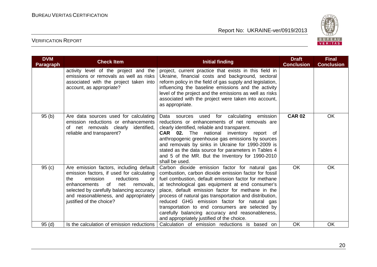

| <b>DVM</b><br><b>Paragraph</b> | <b>Check Item</b>                                                                                                                                                                                                                                                                      | <b>Initial finding</b>                                                                                                                                                                                                                                                                                                                                                                                                                                                                                                                  | <b>Draft</b><br><b>Conclusion</b> | <b>Final</b><br><b>Conclusion</b> |
|--------------------------------|----------------------------------------------------------------------------------------------------------------------------------------------------------------------------------------------------------------------------------------------------------------------------------------|-----------------------------------------------------------------------------------------------------------------------------------------------------------------------------------------------------------------------------------------------------------------------------------------------------------------------------------------------------------------------------------------------------------------------------------------------------------------------------------------------------------------------------------------|-----------------------------------|-----------------------------------|
|                                | activity level of the project and the<br>emissions or removals as well as risks<br>associated with the project taken into<br>account, as appropriate?                                                                                                                                  | project, current practice that exists in this field in<br>Ukraine, financial costs and background, sectoral<br>reform policy in the field of gas supply and legislation,<br>influencing the baseline emissions and the activity<br>level of the project and the emissions as well as risks<br>associated with the project were taken into account,<br>as appropriate.                                                                                                                                                                   |                                   |                                   |
| 95(b)                          | Are data sources used for calculating<br>emission reductions or enhancements<br>net removals clearly identified,<br>Ωf<br>reliable and transparent?                                                                                                                                    | used for calculating<br>emission<br>Data sources<br>reductions or enhancements of net removals are<br>clearly identified, reliable and transparent.<br><b>CAR</b> 02. The national inventory report of<br>anthropogenic greenhouse gas emissions by sources<br>and removals by sinks in Ukraine for 1990-2009 is<br>stated as the data source for parameters in Tables 4<br>and 5 of the MR. But the Inventory for 1990-2010<br>shall be used.                                                                                          | <b>CAR 02</b>                     | OK                                |
| 95(c)                          | Are emission factors, including default<br>emission factors, if used for calculating<br>the<br>emission<br>reductions<br>or<br>of<br>enhancements<br>net<br>removals,<br>selected by carefully balancing accuracy<br>and reasonableness, and appropriately<br>justified of the choice? | Carbon dioxide emission factor for natural gas<br>combustion, carbon dioxide emission factor for fossil<br>fuel combustion, default emission factor for methane<br>at technological gas equipment at end consumer's<br>place, default emission factor for methane in the<br>process of natural gas transportation and distribution,<br>reduced GHG emission factor for natural gas<br>transportation to end consumers are selected by<br>carefully balancing accuracy and reasonableness,<br>and appropriately justified of the choice. | <b>OK</b>                         | OK                                |
| 95(d)                          | Is the calculation of emission reductions                                                                                                                                                                                                                                              | Calculation of emission reductions is based on                                                                                                                                                                                                                                                                                                                                                                                                                                                                                          | OK                                | OK                                |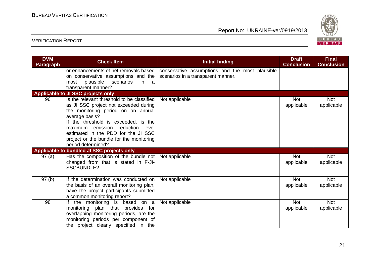

| <b>DVM</b><br><b>Paragraph</b> | <b>Check Item</b>                                                                                                                                                                                                                                                                                                                   | <b>Initial finding</b>                                                                | <b>Draft</b><br><b>Conclusion</b> | <b>Final</b><br><b>Conclusion</b> |
|--------------------------------|-------------------------------------------------------------------------------------------------------------------------------------------------------------------------------------------------------------------------------------------------------------------------------------------------------------------------------------|---------------------------------------------------------------------------------------|-----------------------------------|-----------------------------------|
|                                | or enhancements of net removals based<br>on conservative assumptions and the<br>scenarios<br>plausible<br>in in<br>most<br>a a<br>transparent manner?                                                                                                                                                                               | conservative assumptions and the most plausible<br>scenarios in a transparent manner. |                                   |                                   |
|                                | Applicable to JI SSC projects only                                                                                                                                                                                                                                                                                                  |                                                                                       |                                   |                                   |
| 96                             | Is the relevant threshold to be classified<br>as JI SSC project not exceeded during<br>the monitoring period on an annual<br>average basis?<br>If the threshold is exceeded, is the<br>maximum emission reduction<br>level<br>estimated in the PDD for the JI SSC<br>project or the bundle for the monitoring<br>period determined? | Not applicable                                                                        | <b>Not</b><br>applicable          | Not<br>applicable                 |
|                                | Applicable to bundled JI SSC projects only                                                                                                                                                                                                                                                                                          |                                                                                       |                                   |                                   |
| 97(a)                          | Has the composition of the bundle not Not applicable<br>changed from that is stated in F-JI-<br><b>SSCBUNDLE?</b>                                                                                                                                                                                                                   |                                                                                       | <b>Not</b><br>applicable          | <b>Not</b><br>applicable          |
| 97(b)                          | If the determination was conducted on<br>the basis of an overall monitoring plan,<br>have the project participants submitted<br>a common monitoring report?                                                                                                                                                                         | Not applicable                                                                        | <b>Not</b><br>applicable          | <b>Not</b><br>applicable          |
| 98                             | the monitoring is based on a<br>monitoring plan that provides for<br>overlapping monitoring periods, are the<br>monitoring periods per component of<br>the project clearly specified in the                                                                                                                                         | Not applicable                                                                        | <b>Not</b><br>applicable          | <b>Not</b><br>applicable          |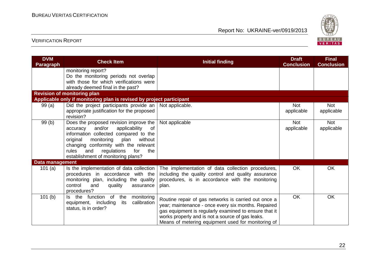

| <b>DVM</b><br><b>Paragraph</b> | <b>Check Item</b>                                                                                                                                                                                                                                                                                     | <b>Initial finding</b>                                                                                                                                                                                                                                                         | <b>Draft</b><br><b>Conclusion</b> | <b>Final</b><br><b>Conclusion</b> |
|--------------------------------|-------------------------------------------------------------------------------------------------------------------------------------------------------------------------------------------------------------------------------------------------------------------------------------------------------|--------------------------------------------------------------------------------------------------------------------------------------------------------------------------------------------------------------------------------------------------------------------------------|-----------------------------------|-----------------------------------|
|                                | monitoring report?<br>Do the monitoring periods not overlap<br>with those for which verifications were<br>already deemed final in the past?                                                                                                                                                           |                                                                                                                                                                                                                                                                                |                                   |                                   |
|                                | <b>Revision of monitoring plan</b>                                                                                                                                                                                                                                                                    |                                                                                                                                                                                                                                                                                |                                   |                                   |
|                                | Applicable only if monitoring plan is revised by project participant                                                                                                                                                                                                                                  |                                                                                                                                                                                                                                                                                |                                   |                                   |
| 99(a)                          | Did the project participants provide an $\vert$ Not applicable.<br>appropriate justification for the proposed<br>revision?                                                                                                                                                                            |                                                                                                                                                                                                                                                                                | <b>Not</b><br>applicable          | <b>Not</b><br>applicable          |
| 99(b)                          | Does the proposed revision improve the<br>and/or<br>applicability<br>of<br>accuracy<br>information collected compared to the<br>without<br>original<br>monitoring<br>plan<br>changing conformity with the relevant<br>rules<br>and<br>regulations<br>for<br>the<br>establishment of monitoring plans? | Not applicable                                                                                                                                                                                                                                                                 | <b>Not</b><br>applicable          | <b>Not</b><br>applicable          |
| Data management                |                                                                                                                                                                                                                                                                                                       |                                                                                                                                                                                                                                                                                |                                   |                                   |
| 101 $(a)$                      | Is the implementation of data collection<br>procedures in accordance with the<br>monitoring plan, including the quality<br>control<br>and<br>quality<br>assurance<br>procedures?                                                                                                                      | The implementation of data collection procedures,<br>including the quality control and quality assurance<br>procedures, is in accordance with the monitoring<br>plan.                                                                                                          | OK                                | OK                                |
| 101(b)                         | function of<br>the<br>Is the<br>monitoring<br>calibration<br>its<br>equipment, including<br>status, is in order?                                                                                                                                                                                      | Routine repair of gas networks is carried out once a<br>year; maintenance - once every six months. Repaired<br>gas equipment is regularly examined to ensure that it<br>works properly and is not a source of gas leaks.<br>Means of metering equipment used for monitoring of | <b>OK</b>                         | <b>OK</b>                         |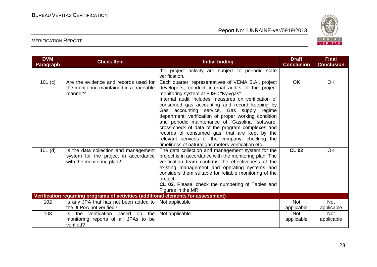

| <b>DVM</b><br><b>Paragraph</b> | <b>Check Item</b>                                                                                          | <b>Initial finding</b>                                                                                                                                                                                                                                                                                                                                                                                                                                                                                                                                                                                                          | <b>Draft</b><br><b>Conclusion</b> | <b>Final</b><br><b>Conclusion</b> |
|--------------------------------|------------------------------------------------------------------------------------------------------------|---------------------------------------------------------------------------------------------------------------------------------------------------------------------------------------------------------------------------------------------------------------------------------------------------------------------------------------------------------------------------------------------------------------------------------------------------------------------------------------------------------------------------------------------------------------------------------------------------------------------------------|-----------------------------------|-----------------------------------|
|                                |                                                                                                            | the project activity are subject to periodic state<br>verification.                                                                                                                                                                                                                                                                                                                                                                                                                                                                                                                                                             |                                   |                                   |
| 101 (c)                        | Are the evidence and records used for<br>the monitoring maintained in a traceable<br>manner?               | Each quarter, representatives of VEMA S.A., project<br>developers, conduct internal audits of the project<br>monitoring system at PJSC "Kyivgas".<br>Internal audit includes measures on verification of<br>consumed gas accounting and record keeping by<br>Gas accounting service, Gas supply regime<br>department; verification of proper working condition<br>and periodic maintenance of "Gasolina" software;<br>cross-check of data of the program complexes and<br>records of consumed gas, that are kept by the<br>relevant services of the company; checking the<br>timeliness of natural gas meters verification etc. | <b>OK</b>                         | OK                                |
| $101$ (d)                      | Is the data collection and management<br>system for the project in accordance<br>with the monitoring plan? | The data collection and management system for the<br>project is in accordance with the monitoring plan. The<br>verification team confirms the effectiveness of the<br>existing management and operating systems and<br>considers them suitable for reliable monitoring of the<br>project.<br>CL 02. Please, check the numbering of Tables and<br>Figures in the MR.                                                                                                                                                                                                                                                             | <b>CL 02</b>                      | OK                                |
|                                | Verification regarding programs of activities (additional elements for assessment)                         |                                                                                                                                                                                                                                                                                                                                                                                                                                                                                                                                                                                                                                 |                                   |                                   |
| 102                            | Is any JPA that has not been added to $ $<br>the JI PoA not verified?                                      | Not applicable                                                                                                                                                                                                                                                                                                                                                                                                                                                                                                                                                                                                                  | <b>Not</b><br>applicable          | <b>Not</b><br>applicable          |
| 103                            | the verification<br>based on the<br>Is.<br>monitoring reports of all JPAs to be<br>verified?               | Not applicable                                                                                                                                                                                                                                                                                                                                                                                                                                                                                                                                                                                                                  | <b>Not</b><br>applicable          | <b>Not</b><br>applicable          |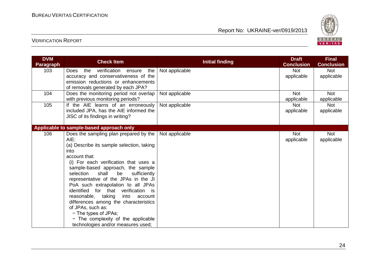

| <b>DVM</b><br><b>Paragraph</b> | <b>Check Item</b>                                                           | <b>Initial finding</b> | <b>Draft</b><br><b>Conclusion</b> | <b>Final</b><br><b>Conclusion</b> |
|--------------------------------|-----------------------------------------------------------------------------|------------------------|-----------------------------------|-----------------------------------|
| 103                            | verification<br>the<br>the<br><b>Does</b><br>ensure                         | Not applicable         | <b>Not</b>                        | <b>Not</b>                        |
|                                | accuracy and conservativeness of the                                        |                        | applicable                        | applicable                        |
|                                | emission reductions or enhancements                                         |                        |                                   |                                   |
| 104                            | of removals generated by each JPA?                                          |                        | <b>Not</b>                        | <b>Not</b>                        |
|                                | Does the monitoring period not overlap<br>with previous monitoring periods? | Not applicable         | applicable                        | applicable                        |
| 105                            | If the AIE learns of an erroneously                                         | Not applicable         | <b>Not</b>                        | <b>Not</b>                        |
|                                | included JPA, has the AIE informed the                                      |                        | applicable                        | applicable                        |
|                                | JISC of its findings in writing?                                            |                        |                                   |                                   |
|                                |                                                                             |                        |                                   |                                   |
|                                | Applicable to sample-based approach only                                    |                        |                                   |                                   |
| 106                            | Does the sampling plan prepared by the                                      | Not applicable         | <b>Not</b>                        | <b>Not</b>                        |
|                                | $AIE$ :                                                                     |                        | applicable                        | applicable                        |
|                                | (a) Describe its sample selection, taking                                   |                        |                                   |                                   |
|                                | into                                                                        |                        |                                   |                                   |
|                                | account that:<br>(i) For each verification that uses a                      |                        |                                   |                                   |
|                                | sample-based approach, the sample                                           |                        |                                   |                                   |
|                                | selection<br>shall<br>be<br>sufficiently                                    |                        |                                   |                                   |
|                                | representative of the JPAs in the JI                                        |                        |                                   |                                   |
|                                | PoA such extrapolation to all JPAs                                          |                        |                                   |                                   |
|                                | identified for that verification is                                         |                        |                                   |                                   |
|                                | reasonable, taking<br>into<br>account                                       |                        |                                   |                                   |
|                                | differences among the characteristics                                       |                        |                                   |                                   |
|                                | of JPAs, such as:                                                           |                        |                                   |                                   |
|                                | - The types of JPAs;                                                        |                        |                                   |                                   |
|                                | - The complexity of the applicable                                          |                        |                                   |                                   |
|                                | technologies and/or measures used;                                          |                        |                                   |                                   |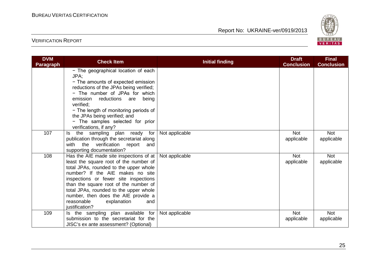

| <b>DVM</b><br><b>Paragraph</b> | <b>Check Item</b>                                                                                                                                                                                                                                                                                                                                                                        | <b>Initial finding</b> | <b>Draft</b><br><b>Conclusion</b> | <b>Final</b><br><b>Conclusion</b> |
|--------------------------------|------------------------------------------------------------------------------------------------------------------------------------------------------------------------------------------------------------------------------------------------------------------------------------------------------------------------------------------------------------------------------------------|------------------------|-----------------------------------|-----------------------------------|
|                                | - The geographical location of each<br>JPA:<br>- The amounts of expected emission<br>reductions of the JPAs being verified;<br>- The number of JPAs for which<br>emission reductions are being<br>verified:<br>- The length of monitoring periods of<br>the JPAs being verified; and<br>- The samples selected for prior<br>verifications, if any?                                       |                        |                                   |                                   |
| 107                            | the sampling plan ready for<br>Is.<br>publication through the secretariat along<br>with the<br>verification<br>report<br>and<br>supporting documentation?                                                                                                                                                                                                                                | Not applicable         | <b>Not</b><br>applicable          | <b>Not</b><br>applicable          |
| 108                            | Has the AIE made site inspections of at<br>least the square root of the number of<br>total JPAs, rounded to the upper whole<br>number? If the AIE makes no site<br>inspections or fewer site inspections<br>than the square root of the number of<br>total JPAs, rounded to the upper whole<br>number, then does the AIE provide a<br>reasonable<br>explanation<br>and<br>justification? | Not applicable         | <b>Not</b><br>applicable          | <b>Not</b><br>applicable          |
| 109                            | Is the sampling plan available for<br>submission to the secretariat for the<br>JISC's ex ante assessment? (Optional)                                                                                                                                                                                                                                                                     | Not applicable         | <b>Not</b><br>applicable          | <b>Not</b><br>applicable          |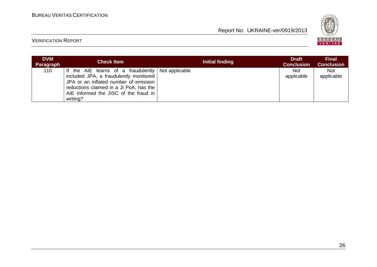

| <b>DVM</b><br>Paragraph | <b>Check Item</b>                                                                                                                                                                                                                       | Initial finding | <b>Draft</b><br><b>Conclusion</b> | <b>Final</b><br><b>Conclusion</b> |
|-------------------------|-----------------------------------------------------------------------------------------------------------------------------------------------------------------------------------------------------------------------------------------|-----------------|-----------------------------------|-----------------------------------|
| 110                     | If the AIE learns of a fraudulently   Not applicable<br>included JPA, a fraudulently monitored<br>JPA or an inflated number of emission<br>reductions claimed in a JI PoA, has the<br>AIE informed the JISC of the fraud in<br>writing? |                 | <b>Not</b><br>applicable          | <b>Not</b><br>applicable          |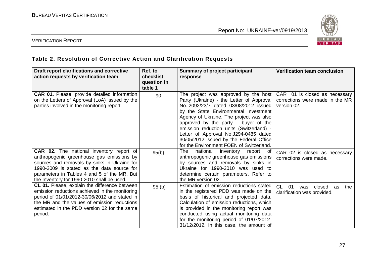

#### VERIFICATION REPORT

## **Table 2. Resolution of Corrective Action and Clarification Requests**

| Draft report clarifications and corrective<br>action requests by verification team                                                                                                                                                                                               | Ref. to<br><b>checklist</b><br>question in<br>table 1 | <b>Summary of project participant</b><br>response                                                                                                                                                                                                                                                                                                                                                                                   | <b>Verification team conclusion</b>                                             |
|----------------------------------------------------------------------------------------------------------------------------------------------------------------------------------------------------------------------------------------------------------------------------------|-------------------------------------------------------|-------------------------------------------------------------------------------------------------------------------------------------------------------------------------------------------------------------------------------------------------------------------------------------------------------------------------------------------------------------------------------------------------------------------------------------|---------------------------------------------------------------------------------|
| <b>CAR 01.</b> Please, provide detailed information<br>on the Letters of Approval (LoA) issued by the<br>parties involved in the monitoring report.                                                                                                                              | 90                                                    | The project was approved by the host<br>Party (Ukraine) - the Letter of Approval<br>No. 2092/23/7 dated 03/08/2012 issued<br>by the State Environmental Investment<br>Agency of Ukraine. The project was also<br>approved by the party $-$ buyer of the<br>emission reduction units (Switzerland) -<br>Letter of Approval No.J294-0485 dated<br>30/05/2012 issued by the Federal Office<br>for the Environment FOEN of Switzerland. | CAR 01 is closed as necessary<br>corrections were made in the MR<br>version 02. |
| CAR 02. The national inventory report of<br>anthropogenic greenhouse gas emissions by<br>sources and removals by sinks in Ukraine for<br>1990-2009 is stated as the data source for<br>parameters in Tables 4 and 5 of the MR. But<br>the Inventory for 1990-2010 shall be used. | 95(b)                                                 | The<br>national inventory<br>report of<br>anthropogenic greenhouse gas emissions<br>by sources and removals by sinks in<br>Ukraine for 1990-2010 was used to<br>determine certain parameters. Refer to<br>the MR version 02.                                                                                                                                                                                                        | CAR 02 is closed as necessary<br>corrections were made.                         |
| CL 01. Please, explain the difference between<br>emission reductions achieved in the monitoring<br>period of 01/01/2012-30/06/2012 and stated in<br>the MR and the values of emission reductions<br>estimated in the PDD version 02 for the same<br>period.                      | 95(b)                                                 | Estimation of emission reductions stated<br>in the registered PDD was made on the<br>basis of historical and projected data.<br>Calculation of emission reductions, which<br>is provided in the monitoring report was<br>conducted using actual monitoring data<br>for the monitoring period of 01/07/2012-<br>31/12/2012. In this case, the amount of                                                                              | CL.<br>-01<br>closed<br>the<br>was<br>as<br>clarification was provided.         |